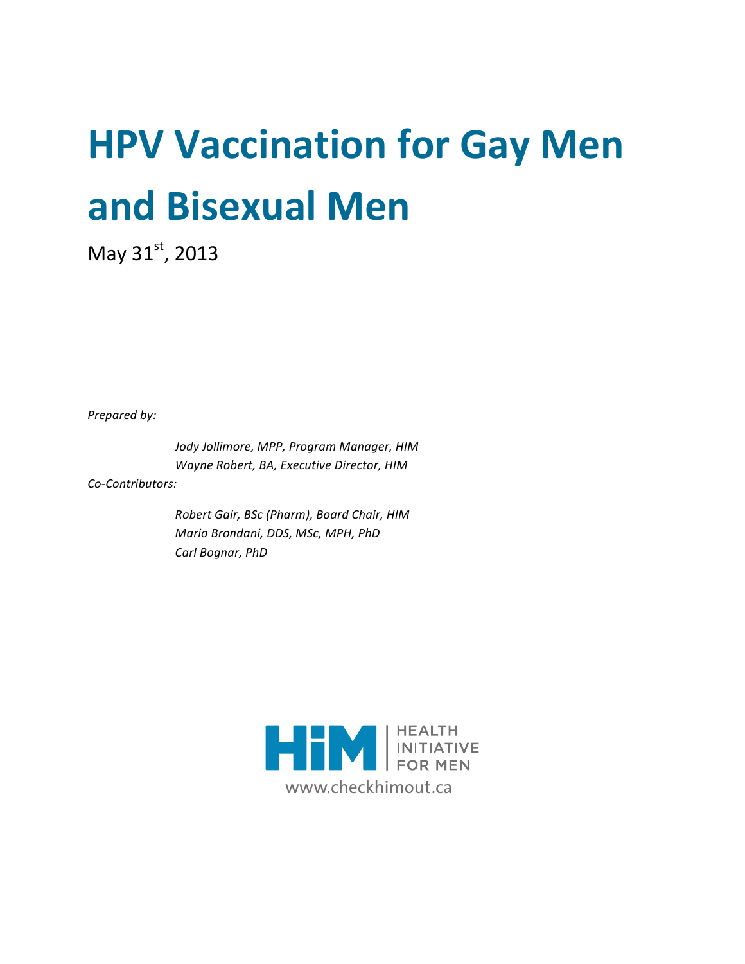# **HPV Vaccination for Gay Men and\$Bisexual\$Men**

May  $31^{st}$ , 2013

**Prepared by:** 

Jody Jollimore, MPP, Program Manager, HIM *Wayne Robert, BA, Executive Director, HIM* 

Co-Contributors:

*Robert'Gair,'BSc'(Pharm), Board'Chair,'HIM Mario'Brondani,'DDS,'MSc,'MPH,'PhD* Carl Bognar, PhD

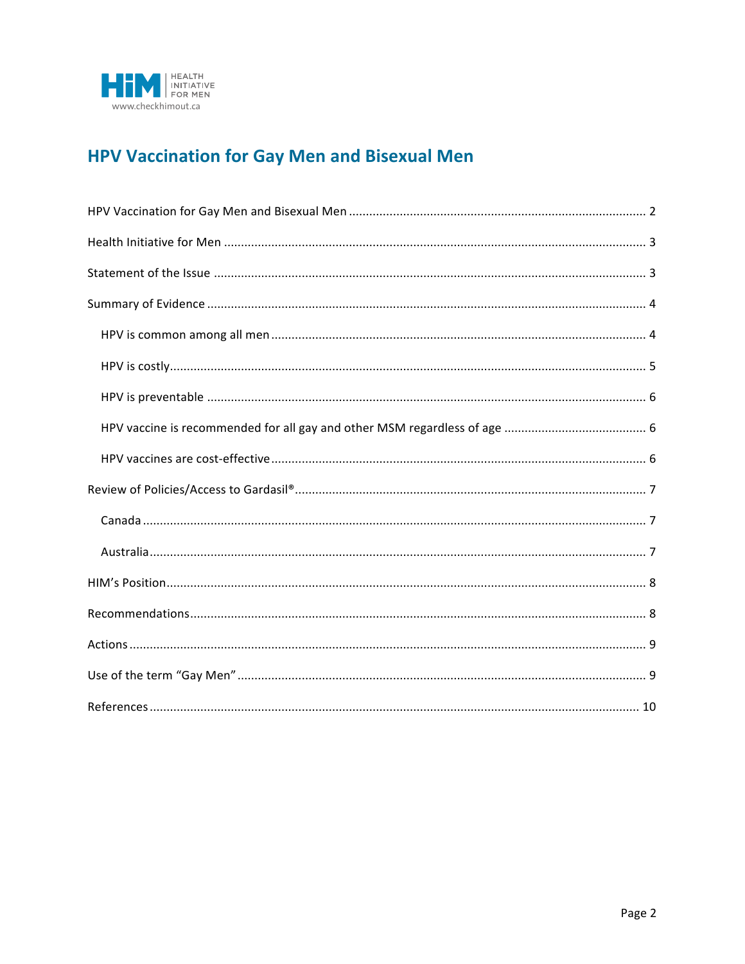

# **HPV Vaccination for Gay Men and Bisexual Men**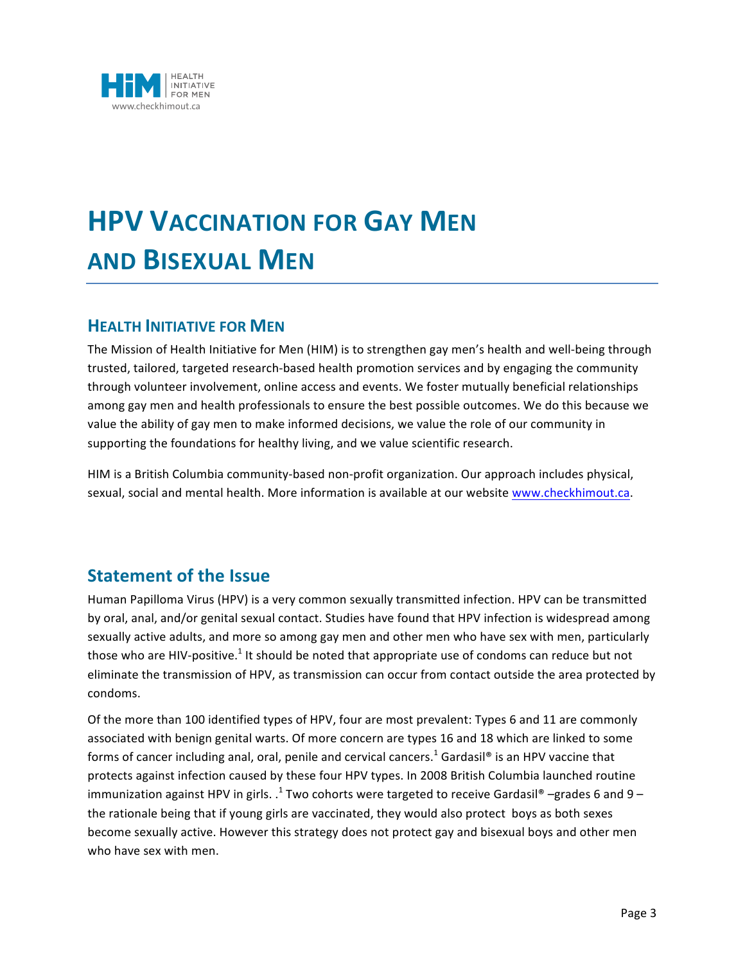

# **HPV VACCINATION\$FOR GAY MEN AND\$BISEXUAL MEN**

#### **HEALTH INITIATIVE FOR MEN**

The Mission of Health Initiative for Men (HIM) is to strengthen gay men's health and well-being through trusted, tailored, targeted research-based health promotion services and by engaging the community through volunteer involvement, online access and events. We foster mutually beneficial relationships among gay men and health professionals to ensure the best possible outcomes. We do this because we value the ability of gay men to make informed decisions, we value the role of our community in supporting the foundations for healthy living, and we value scientific research.

HIM is a British Columbia community-based non-profit organization. Our approach includes physical, sexual, social and mental health. More information is available at our website www.checkhimout.ca.

## **Statement of the Issue**

Human Papilloma Virus (HPV) is a very common sexually transmitted infection. HPV can be transmitted by oral, anal, and/or genital sexual contact. Studies have found that HPV infection is widespread among sexually active adults, and more so among gay men and other men who have sex with men, particularly those who are HIV-positive.<sup>1</sup> It should be noted that appropriate use of condoms can reduce but not eliminate the transmission of HPV, as transmission can occur from contact outside the area protected by condoms.

Of the more than 100 identified types of HPV, four are most prevalent: Types 6 and 11 are commonly associated with benign genital warts. Of more concern are types 16 and 18 which are linked to some forms of cancer including anal, oral, penile and cervical cancers.<sup>1</sup> Gardasil® is an HPV vaccine that protects against infection caused by these four HPV types. In 2008 British Columbia launched routine immunization against HPV in girls. .<sup>1</sup> Two cohorts were targeted to receive Gardasil® –grades 6 and 9 – the rationale being that if young girls are vaccinated, they would also protect boys as both sexes become sexually active. However this strategy does not protect gay and bisexual boys and other men who have sex with men.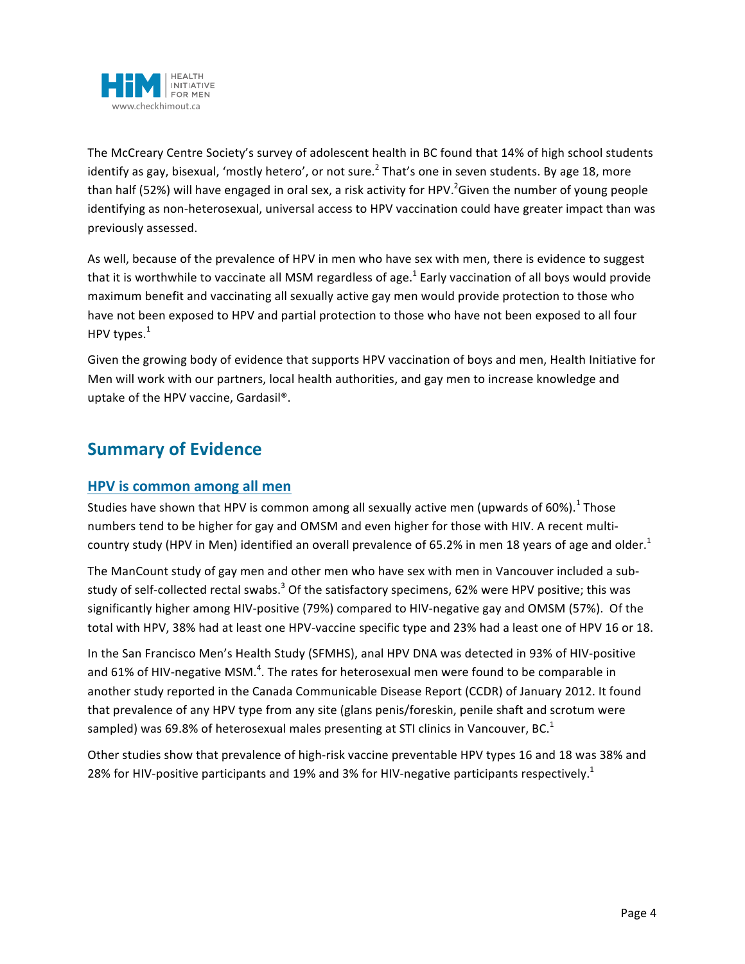

The McCreary Centre Society's survey of adolescent health in BC found that 14% of high school students identify as gay, bisexual, 'mostly hetero', or not sure.<sup>2</sup> That's one in seven students. By age 18, more than half (52%) will have engaged in oral sex, a risk activity for HPV.<sup>2</sup>Given the number of young people identifying as non-heterosexual, universal access to HPV vaccination could have greater impact than was previously assessed.

As well, because of the prevalence of HPV in men who have sex with men, there is evidence to suggest that it is worthwhile to vaccinate all MSM regardless of age.<sup>1</sup> Early vaccination of all boys would provide maximum benefit and vaccinating all sexually active gay men would provide protection to those who have not been exposed to HPV and partial protection to those who have not been exposed to all four HPV types. $<sup>1</sup>$ </sup>

Given the growing body of evidence that supports HPV vaccination of boys and men, Health Initiative for Men will work with our partners, local health authorities, and gay men to increase knowledge and uptake of the HPV vaccine, Gardasil®.

# **Summary of Evidence**

#### **HPV** is common among all men

Studies have shown that HPV is common among all sexually active men (upwards of 60%).<sup>1</sup> Those numbers tend to be higher for gay and OMSM and even higher for those with HIV. A recent multicountry study (HPV in Men) identified an overall prevalence of 65.2% in men 18 years of age and older.<sup>1</sup>

The ManCount study of gay men and other men who have sex with men in Vancouver included a substudy of self-collected rectal swabs.<sup>3</sup> Of the satisfactory specimens, 62% were HPV positive; this was significantly higher among HIV-positive (79%) compared to HIV-negative gay and OMSM (57%). Of the total with HPV, 38% had at least one HPV-vaccine specific type and 23% had a least one of HPV 16 or 18.

In the San Francisco Men's Health Study (SFMHS), anal HPV DNA was detected in 93% of HIV-positive and 61% of HIV-negative MSM.<sup>4</sup>. The rates for heterosexual men were found to be comparable in another study reported in the Canada Communicable Disease Report (CCDR) of January 2012. It found that prevalence of any HPV type from any site (glans penis/foreskin, penile shaft and scrotum were sampled) was 69.8% of heterosexual males presenting at STI clinics in Vancouver, BC.<sup>1</sup>

Other studies show that prevalence of high-risk vaccine preventable HPV types 16 and 18 was 38% and 28% for HIV-positive participants and 19% and 3% for HIV-negative participants respectively.<sup>1</sup>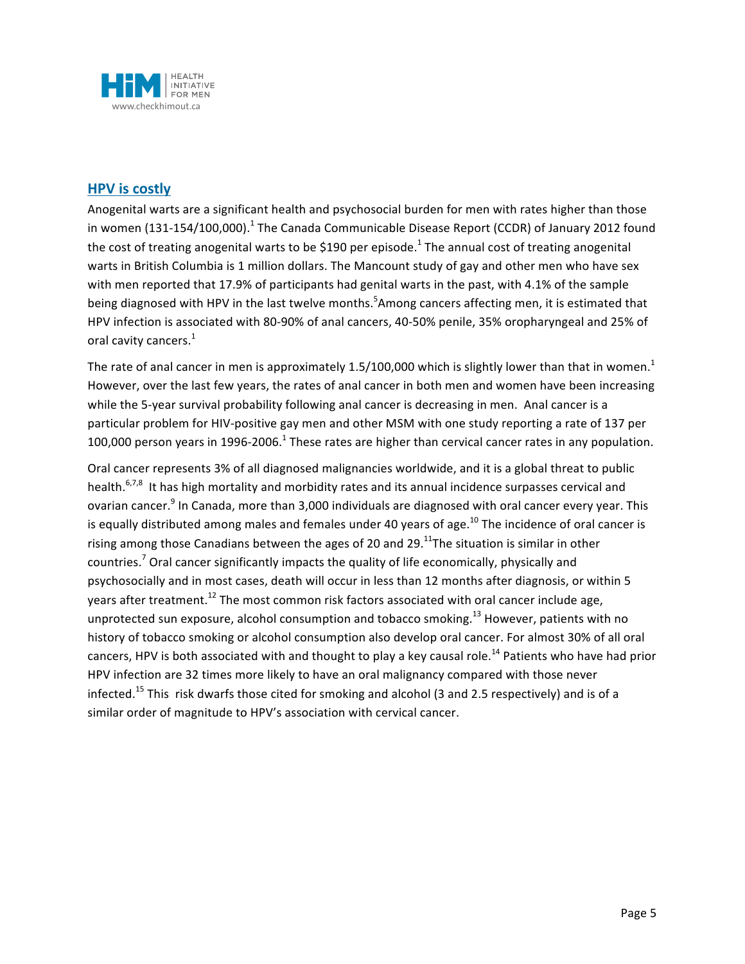

#### **HPV** is costly

Anogenital warts are a significant health and psychosocial burden for men with rates higher than those in women (131-154/100,000).<sup>1</sup> The Canada Communicable Disease Report (CCDR) of January 2012 found the cost of treating anogenital warts to be \$190 per episode.<sup>1</sup> The annual cost of treating anogenital warts in British Columbia is 1 million dollars. The Mancount study of gay and other men who have sex with men reported that 17.9% of participants had genital warts in the past, with 4.1% of the sample being diagnosed with HPV in the last twelve months.<sup>5</sup>Among cancers affecting men, it is estimated that HPV infection is associated with 80-90% of anal cancers, 40-50% penile, 35% oropharyngeal and 25% of oral cavity cancers. $1$ 

The rate of anal cancer in men is approximately 1.5/100,000 which is slightly lower than that in women.<sup>1</sup> However, over the last few years, the rates of anal cancer in both men and women have been increasing while the 5-year survival probability following anal cancer is decreasing in men. Anal cancer is a particular problem for HIV-positive gay men and other MSM with one study reporting a rate of 137 per 100,000 person years in 1996-2006.<sup>1</sup> These rates are higher than cervical cancer rates in any population.

Oral cancer represents 3% of all diagnosed malignancies worldwide, and it is a global threat to public health.<sup>6,7,8</sup> It has high mortality and morbidity rates and its annual incidence surpasses cervical and ovarian cancer.<sup>9</sup> In Canada, more than 3,000 individuals are diagnosed with oral cancer every year. This is equally distributed among males and females under 40 years of age.<sup>10</sup> The incidence of oral cancer is rising among those Canadians between the ages of 20 and 29.<sup>11</sup>The situation is similar in other countries.<sup>7</sup> Oral cancer significantly impacts the quality of life economically, physically and psychosocially and in most cases, death will occur in less than 12 months after diagnosis, or within 5 years after treatment.<sup>12</sup> The most common risk factors associated with oral cancer include age, unprotected sun exposure, alcohol consumption and tobacco smoking.<sup>13</sup> However, patients with no history of tobacco smoking or alcohol consumption also develop oral cancer. For almost 30% of all oral cancers, HPV is both associated with and thought to play a key causal role.<sup>14</sup> Patients who have had prior HPV infection are 32 times more likely to have an oral malignancy compared with those never infected.<sup>15</sup> This risk dwarfs those cited for smoking and alcohol (3 and 2.5 respectively) and is of a similar order of magnitude to HPV's association with cervical cancer.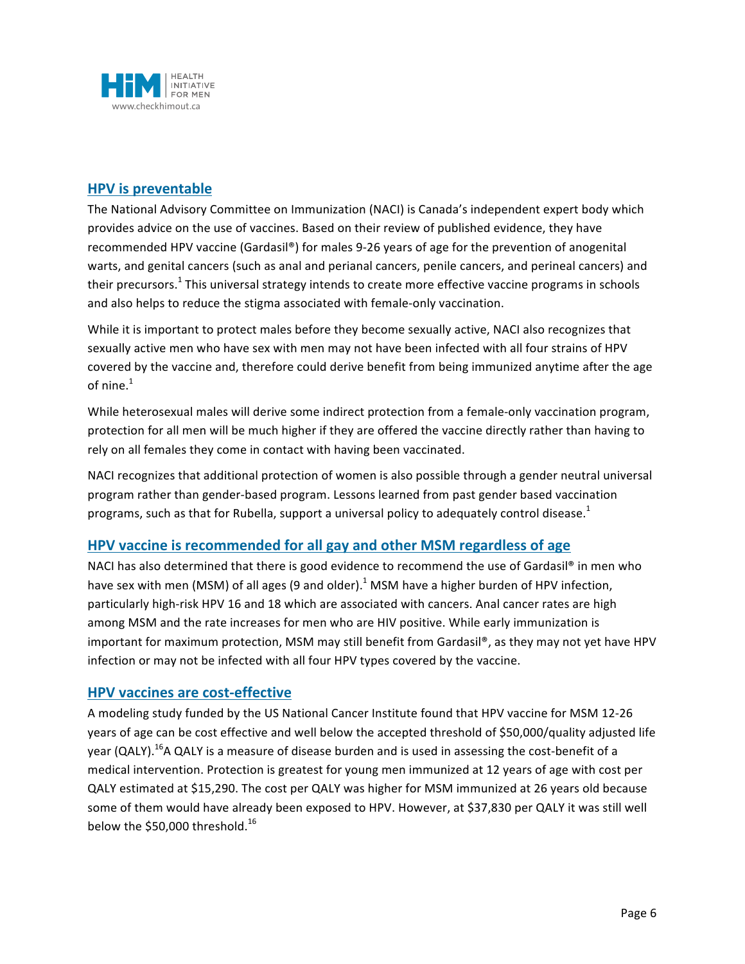

#### **HPV** is preventable

The National Advisory Committee on Immunization (NACI) is Canada's independent expert body which provides advice on the use of vaccines. Based on their review of published evidence, they have recommended HPV vaccine (Gardasil®) for males 9-26 years of age for the prevention of anogenital warts, and genital cancers (such as anal and perianal cancers, penile cancers, and perineal cancers) and their precursors.<sup>1</sup> This universal strategy intends to create more effective vaccine programs in schools and also helps to reduce the stigma associated with female-only vaccination.

While it is important to protect males before they become sexually active, NACI also recognizes that sexually active men who have sex with men may not have been infected with all four strains of HPV covered by the vaccine and, therefore could derive benefit from being immunized anytime after the age of nine $<sup>1</sup>$ </sup>

While heterosexual males will derive some indirect protection from a female-only vaccination program, protection for all men will be much higher if they are offered the vaccine directly rather than having to rely on all females they come in contact with having been vaccinated.

NACI recognizes that additional protection of women is also possible through a gender neutral universal program rather than gender-based program. Lessons learned from past gender based vaccination programs, such as that for Rubella, support a universal policy to adequately control disease.<sup>1</sup>

#### **HPV vaccine is recommended for all gay and other MSM regardless of age**

NACI has also determined that there is good evidence to recommend the use of Gardasil® in men who have sex with men (MSM) of all ages (9 and older).<sup>1</sup> MSM have a higher burden of HPV infection, particularly high-risk HPV 16 and 18 which are associated with cancers. Anal cancer rates are high among MSM and the rate increases for men who are HIV positive. While early immunization is important for maximum protection, MSM may still benefit from Gardasil®, as they may not yet have HPV infection or may not be infected with all four HPV types covered by the vaccine.

#### **HPV vaccines are cost-effective**

A modeling study funded by the US National Cancer Institute found that HPV vaccine for MSM 12-26 years of age can be cost effective and well below the accepted threshold of \$50,000/quality adjusted life year (QALY).<sup>16</sup>A QALY is a measure of disease burden and is used in assessing the cost-benefit of a medical intervention. Protection is greatest for young men immunized at 12 years of age with cost per QALY estimated at \$15,290. The cost per QALY was higher for MSM immunized at 26 years old because some of them would have already been exposed to HPV. However, at \$37,830 per QALY it was still well below the \$50,000 threshold. $16$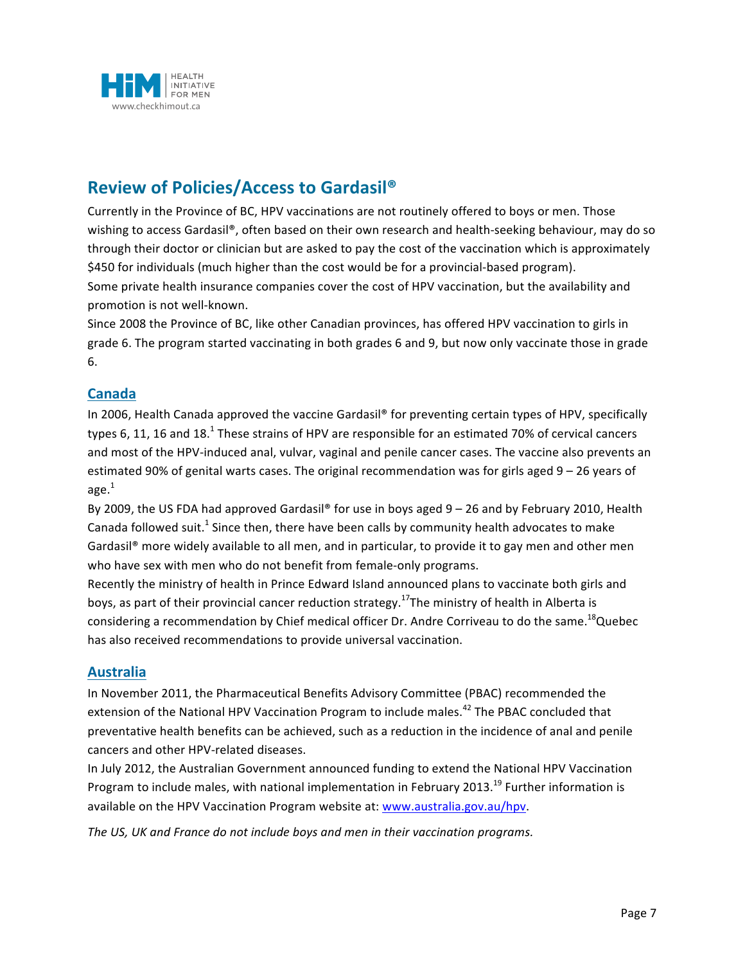

# **Review of Policies/Access to Gardasil®**

Currently in the Province of BC, HPV vaccinations are not routinely offered to boys or men. Those wishing to access Gardasil®, often based on their own research and health-seeking behaviour, may do so through their doctor or clinician but are asked to pay the cost of the vaccination which is approximately \$450 for individuals (much higher than the cost would be for a provincial-based program). Some private health insurance companies cover the cost of HPV vaccination, but the availability and promotion is not well-known.

Since 2008 the Province of BC, like other Canadian provinces, has offered HPV vaccination to girls in grade 6. The program started vaccinating in both grades 6 and 9, but now only vaccinate those in grade 6.

#### **Canada**

In 2006, Health Canada approved the vaccine Gardasil® for preventing certain types of HPV, specifically types 6, 11, 16 and 18.<sup>1</sup> These strains of HPV are responsible for an estimated 70% of cervical cancers and most of the HPV-induced anal, vulvar, vaginal and penile cancer cases. The vaccine also prevents an estimated 90% of genital warts cases. The original recommendation was for girls aged 9 – 26 years of age. $<sup>1</sup>$ </sup>

By 2009, the US FDA had approved Gardasil® for use in boys aged 9 – 26 and by February 2010, Health Canada followed suit.<sup>1</sup> Since then, there have been calls by community health advocates to make Gardasil<sup>®</sup> more widely available to all men, and in particular, to provide it to gay men and other men who have sex with men who do not benefit from female-only programs.

Recently the ministry of health in Prince Edward Island announced plans to vaccinate both girls and boys, as part of their provincial cancer reduction strategy.<sup>17</sup>The ministry of health in Alberta is considering a recommendation by Chief medical officer Dr. Andre Corriveau to do the same.<sup>18</sup>Quebec has also received recommendations to provide universal vaccination.

#### **Australia**

In November 2011, the Pharmaceutical Benefits Advisory Committee (PBAC) recommended the extension of the National HPV Vaccination Program to include males.<sup>42</sup> The PBAC concluded that preventative health benefits can be achieved, such as a reduction in the incidence of anal and penile cancers and other HPV-related diseases.

In July 2012, the Australian Government announced funding to extend the National HPV Vaccination Program to include males, with national implementation in February 2013.<sup>19</sup> Further information is available on the HPV Vaccination Program website at: www.australia.gov.au/hpv.

The US, UK and France do not include boys and men in their vaccination programs.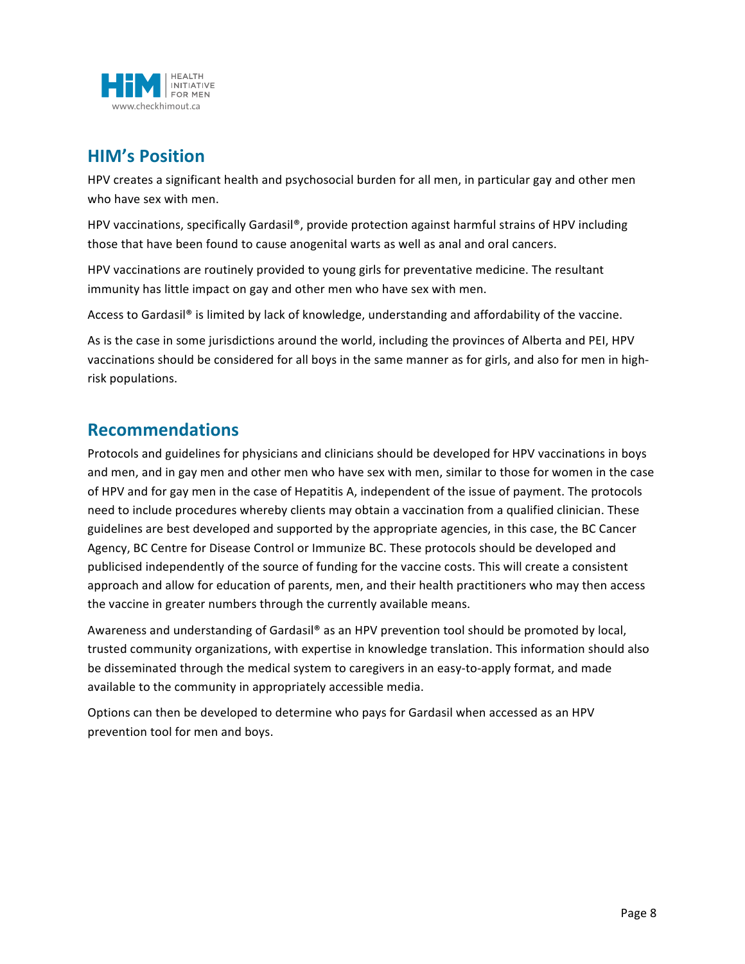

# **HIM's Position**

HPV creates a significant health and psychosocial burden for all men, in particular gay and other men who have sex with men.

HPV vaccinations, specifically Gardasil®, provide protection against harmful strains of HPV including those that have been found to cause anogenital warts as well as anal and oral cancers.

HPV vaccinations are routinely provided to young girls for preventative medicine. The resultant immunity has little impact on gay and other men who have sex with men.

Access to Gardasil® is limited by lack of knowledge, understanding and affordability of the vaccine.

As is the case in some jurisdictions around the world, including the provinces of Alberta and PEI, HPV vaccinations should be considered for all boys in the same manner as for girls, and also for men in highrisk populations.

## **Recommendations**

Protocols and guidelines for physicians and clinicians should be developed for HPV vaccinations in boys and men, and in gay men and other men who have sex with men, similar to those for women in the case of HPV and for gay men in the case of Hepatitis A, independent of the issue of payment. The protocols need to include procedures whereby clients may obtain a vaccination from a qualified clinician. These guidelines are best developed and supported by the appropriate agencies, in this case, the BC Cancer Agency, BC Centre for Disease Control or Immunize BC. These protocols should be developed and publicised independently of the source of funding for the vaccine costs. This will create a consistent approach and allow for education of parents, men, and their health practitioners who may then access the vaccine in greater numbers through the currently available means.

Awareness and understanding of Gardasil® as an HPV prevention tool should be promoted by local, trusted community organizations, with expertise in knowledge translation. This information should also be disseminated through the medical system to caregivers in an easy-to-apply format, and made available to the community in appropriately accessible media.

Options can then be developed to determine who pays for Gardasil when accessed as an HPV prevention tool for men and boys.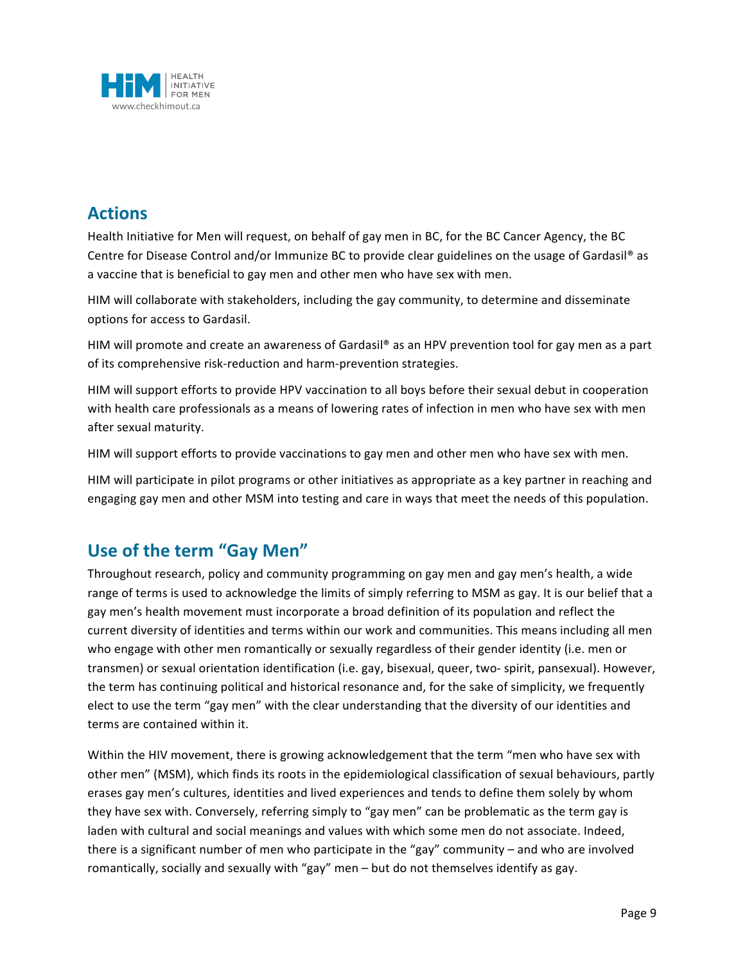

# **Actions**

Health Initiative for Men will request, on behalf of gay men in BC, for the BC Cancer Agency, the BC Centre for Disease Control and/or Immunize BC to provide clear guidelines on the usage of Gardasil® as a vaccine that is beneficial to gay men and other men who have sex with men.

HIM will collaborate with stakeholders, including the gay community, to determine and disseminate options for access to Gardasil.

HIM will promote and create an awareness of Gardasil® as an HPV prevention tool for gay men as a part of its comprehensive risk-reduction and harm-prevention strategies.

HIM will support efforts to provide HPV vaccination to all boys before their sexual debut in cooperation with health care professionals as a means of lowering rates of infection in men who have sex with men after sexual maturity.

HIM will support efforts to provide vaccinations to gay men and other men who have sex with men.

HIM will participate in pilot programs or other initiatives as appropriate as a key partner in reaching and engaging gay men and other MSM into testing and care in ways that meet the needs of this population.

# **Use of the term "Gay Men"**

Throughout research, policy and community programming on gay men and gay men's health, a wide range of terms is used to acknowledge the limits of simply referring to MSM as gay. It is our belief that a gay men's health movement must incorporate a broad definition of its population and reflect the current diversity of identities and terms within our work and communities. This means including all men who engage with other men romantically or sexually regardless of their gender identity (i.e. men or transmen) or sexual orientation identification (i.e. gay, bisexual, queer, two-spirit, pansexual). However, the term has continuing political and historical resonance and, for the sake of simplicity, we frequently elect to use the term "gay men" with the clear understanding that the diversity of our identities and terms are contained within it.

Within the HIV movement, there is growing acknowledgement that the term "men who have sex with other men" (MSM), which finds its roots in the epidemiological classification of sexual behaviours, partly erases gay men's cultures, identities and lived experiences and tends to define them solely by whom they have sex with. Conversely, referring simply to "gay men" can be problematic as the term gay is laden with cultural and social meanings and values with which some men do not associate. Indeed, there is a significant number of men who participate in the "gay" community – and who are involved romantically, socially and sexually with "gay" men – but do not themselves identify as gay.